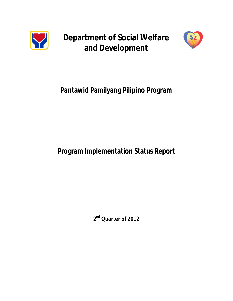

**Department of Social Welfare and Development**



# **Pantawid Pamilyang Pilipino Program**

## **Program Implementation Status Report**

**2 nd Quarter of 2012**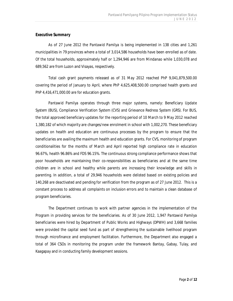#### *Executive Summary*

As of 27 June 2012 the *Pantawid Pamilya* is being implemented in 138 cities and 1,261 municipalities in 79 provinces where a total of 3,014,586 households have been enrolled as of date. Of the total households, approximately half or 1,294,946 are from Mindanao while 1,030,078 and 689,562 are from Luzon and Visayas, respectively.

Total cash grant payments released as of 31 May 2012 reached PhP 9,041,879,500.00 covering the period of January to April, where PhP 4,625,408,500.00 comprised health grants and PhP 4,416,471,000.00 are for education grants.

*Pantawid Pamilya* operates through three major systems, namely: Beneficiary Update System (BUS), Compliance Verification System (CVS) and Grievance Redress System (GRS). For BUS, the total approved beneficiary updates for the reporting period of 10 March to 9 May 2012 reached 1,380,182 of which majority are changes/new enrolment in school with 1,002,270. These beneficiary updates on health and education are continuous processes by the program to ensure that the beneficiaries are availing the maximum health and education grants. For CVS, monitoring of program conditionalities for the months of March and April reported high compliance rate in education 96.67%, health 96.86% and FDS 96.15%. The continuous strong compliance performance shows that poor households are maintaining their co-responsibilities as beneficiaries and at the same time children are in school and healthy while parents are increasing their knowledge and skills in parenting. In addition, a total of 29,946 households were delisted based on existing policies and 140,268 are deactivated and pending for verification from the program as of 27 June 2012. This is a constant process to address all complaints on inclusion errors and to maintain a clean database of program beneficiaries.

The Department continues to work with partner agencies in the implementation of the Program in providing services for the beneficiaries. As of 30 June 2012, 1,947 *Pantawid Pamilya* beneficiaries were hired by Department of Public Works and Highways (DPWH) and 3,668 families were provided the capital seed fund as part of strengthening the sustainable livelihood program through microfinance and employment facilitation. Furthermore, the Department also engaged a total of 364 CSOs in monitoring the program under the framework Bantay, Gabay, Tulay, and Kaagapay and in conducting family development sessions.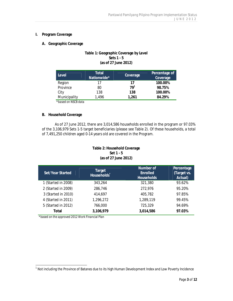## **I. Program Coverage**

**A. Geographic Coverage**

## **Table 1: Geographic Coverage by Level Sets 1 - 5 (as of 27 June 2012)**

| Total<br>Nationwide* | Coverage                 | Percentage of<br>Coverage |
|----------------------|--------------------------|---------------------------|
| 17                   |                          | 100.00%                   |
| 80                   | 79 <sup>1</sup>          | 98.75%                    |
| 138                  | 138                      | 100.00%                   |
| 1,496                | 1,261                    | 84.29%                    |
|                      | $*$ Leased and MCOD data |                           |

\**based on NSCB data*

## **B. Household Coverage**

As of 27 June 2012, there are 3,014,586 households enrolled in the program or 97.03% of the 3,106,979 Sets 1-5 target beneficiaries (please see Table 2). Of these households, a total of 7,491,250 children aged 0-14 years old are covered in the Program.

## **Table 2: Household Coverage Set 1 - 5 (as of 27 June 2012)**

| Set/Year Started    | Target<br>Households <sup>*</sup> | Number of<br>Enrolled<br><b>Households</b> | Percentage<br>(Target vs.<br>Actual) |
|---------------------|-----------------------------------|--------------------------------------------|--------------------------------------|
| 1 (Started in 2008) | 343,264                           | 321,380                                    | 93.62%                               |
| 2 (Started in 2009) | 286,746                           | 272,976                                    | 95.20%                               |
| 3 (Started in 2010) | 414,697                           | 405,782                                    | 97.85%                               |
| 4 (Started in 2011) | 1,296,272                         | 1,289,119                                  | 99.45%                               |
| 5 (Started in 2012) | 766,000                           | 725,329                                    | 94.69%                               |
| Total               | 3,106,979                         | 3,014,586                                  | 97.03%                               |

*\*based on the approved 2012 Work Financial Plan*

 1 Not including the Province of Batanes due to its high Human Development Index and Low Poverty Incidence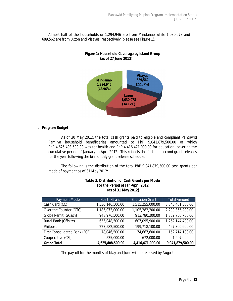Almost half of the households or 1,294,946 are from Mindanao while 1,030,078 and 689,562 are from Luzon and Visayas, respectively (please see Figure 1).



**Figure 1: Household Coverage by Island Group (as of 27 June 2012)**

**II. Program Budget**

As of 30 May 2012, the total cash grants paid to eligible and compliant *Pantawid Pamilya* household beneficiaries amounted to PhP 9,041,879,500.00 of which PhP 4,625,408,500.00 was for health and PhP 4,416,471,000.00 for education, covering the cumulative period of January to April 2012. This reflects the first and second grant releases for the year following the bi-monthly grant release schedule.

The following is the distribution of the total PhP 9,041,879,500.00 cash grants per mode of payment as of 31 May 2012:

| Payment Mode                  | <b>Health Grant</b> | <b>Education Grant</b> | <b>Total Amount</b> |
|-------------------------------|---------------------|------------------------|---------------------|
| Cash Card (CC)                | 1,530,146,500.00    | 1,515,255,000.00       | 3,045,401,500.00    |
| Over the Counter (OTC)        | 1,185,073,000.00    | 1,105,282,200.00       | 2,290,355,200.00    |
| Globe Remit (GCash)           | 948,976,500.00      | 913,780,200.00         | 1,862,756,700.00    |
| Rural Bank (Offsite)          | 655,048,500.00      | 607,095,900.00         | 1,262,144,400.00    |
| Philpost                      | 227,582,500.00      | 199,718,100.00         | 427,300,600.00      |
| First Consolidated Bank (FCB) | 78,046,500.00       | 74,667,600.00          | 152,714,100.00      |
| Cooperative (CFI)             | 535,000.00          | 672,000.00             | 1,207,000.00        |
| <b>Grand Total</b>            | 4,625,408,500.00    | 4,416,471,000.00       | 9,041,879,500.00    |

**Table 3: Distribution of Cash Grants per Mode For the Period of Jan-April 2012 (as of 31 May 2012)**

The payroll for the months of May and June will be released by August.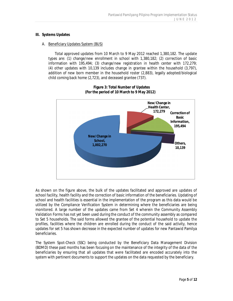#### **III. Systems Updates**

## A. Beneficiary Updates System (BUS)

Total approved updates from 10 March to 9 May 2012 reached 1,380,182. The update types are: (1) change/new enrollment in school with 1,380,182; (2) correction of basic information with 195,494; (3) change/new registration in health center with 172,279; (4) other updates with 10,139 includes change in grantee within the household (3,797), addition of new born member in the household roster (2,883), legally adopted/biological child coming back home (2,723), and deceased grantee (737).



**Figure 3: Total Number of Updates (For the period of 10 March to 9 May 2012)**

As shown on the figure above, the bulk of the updates facilitated and approved are updates of school facility, health facility and the correction of basic information of the beneficiaries. Updating of school and health facilities is essential in the implementation of the program as this data would be utilized by the Compliance Verification System in determining where the beneficiaries are being monitored. A large number of the updates came from Set 4 wherein the Community Assembly Validation Forms has not yet been used during the conduct of the community assembly as compared to Set 5 households. The said forms allowed the grantee of the potential household to update the profiles, facilities where the children are enrolled during the conduct of the said activity, hence updates for set 5 has shown decrease in the expected number of updates for new Pantawid Pamilya beneficiaries.

The System Spot-Check (SSC) being conducted by the Beneficiary Data Management Division (BDMD) these past months has been focusing on the maintenance of the integrity of the data of the beneficiaries by ensuring that all updates that were facilitated are encoded accurately into the system with pertinent documents to support the updates on the data requested by the beneficiary.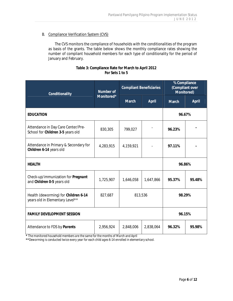## B. Compliance Verification System (CVS)

The CVS monitors the compliance of households with the conditionalities of the program as basis of the grants. The table below shows the monthly compliance rates showing the number of compliant household members for each type of conditionality for the period of January and February.

| Table 3: Compliance Rate for March to April 2012 |
|--------------------------------------------------|
| For Sets 1 to 5                                  |

| Conditionality                                                          | Number of<br>Monitored* | <b>Compliant Beneficiaries</b> |           | % Compliance<br>(Compliant over<br>Monitored) |        |
|-------------------------------------------------------------------------|-------------------------|--------------------------------|-----------|-----------------------------------------------|--------|
|                                                                         |                         | March                          | April     | March                                         | April  |
| <b>EDUCATION</b>                                                        |                         |                                |           | 96.67%                                        |        |
| Attendance in Day Care Center/Pre-<br>School for Children 3-5 years old | 830,305                 | 799,027                        |           | 96.23%                                        |        |
| Attendance in Primary & Secondary for<br>Children 6-14 years old        | 4,283,915               | 4,159,921                      |           | 97.11%                                        |        |
| <b>HEALTH</b>                                                           |                         |                                |           | 96.86%                                        |        |
| Check-up/immunization for Pregnant<br>and Children 0-5 years old        | 1,725,907               | 1,646,058                      | 1,647,866 | 95.37%                                        | 95.48% |
| Health (deworming) for Children 6-14<br>years old in Elementary Level** | 827,687                 | 813,536                        |           | 98.29%                                        |        |
| <b>FAMILY DEVELOPMENT SESSION</b>                                       |                         |                                |           | 96.15%                                        |        |
| Attendance to FDS by Parents                                            | 2,956,924               | 2,848,006                      | 2,838,064 | 96.32%                                        | 95.98% |

**\*** *The monitored household members are the same for the months of March and April*

**\*\****Deworming is conducted twice every year for each child ages 6-14 enrolled in elementary school.*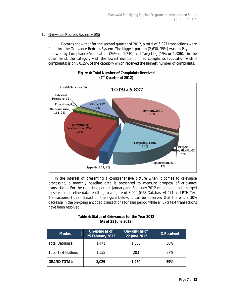## C. Grievance Redress System (GRS)

Records show that for the second quarter of 2012, a total of 6,827 transactions were filed thru the Grievance Redress System. The biggest portion (2,630, 39%) was on Payment, followed by Compliance Verification (26% or 1,740) and Targeting (19% or 1,306). On the other hand, the category with the lowest number of filed complaints (Education with 4 complaints) is only 0.15% of the category which received the highest number of complaints.



**Figure 4: Total Number of Complaints Received (2nd Quarter of 2012)**

In the interest of presenting a comprehensive picture when it comes to grievance processing, a monthly baseline data is presented to measure progress of grievance transactions. For the reporting period, January and February 2012 on-going data is merged to serve as baseline data resulting to a figure of 3,029 (GRS Database=1,471 and PTH/Text Transactions=1,558). Based on the figure below, it can be observed that there is a 30% decrease in the on-going encoded transactions for said period while all 87% text transactions have been resolved.

| Table 4: Status of Grievances for the Year 2012 |  |
|-------------------------------------------------|--|
| (As of 21 June 2012)                            |  |

| <b>Modes</b>               | On-going as of<br>25 February 2012 | On-going as of<br>22 June 2012 | % Resolved |  |
|----------------------------|------------------------------------|--------------------------------|------------|--|
| Total Database:            | 1.471                              | 1,030                          | 30%        |  |
| <b>Total Text Hotline:</b> | 1,558                              | 203                            | 87%        |  |
| <b>GRAND TOTAL:</b>        | 3,029                              | 1,230                          | 59%        |  |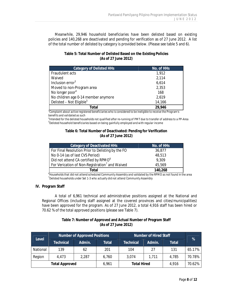Meanwhile, 29,946 household beneficiaries have been delisted based on existing policies and 140,268 are deactivated and pending for verification as of 27 June 2012. A list of the total number of delisted by category is provided below. (Please see table 5 and 6).

| Table 5: Total Number of Delisted Based on the Existing Policies |
|------------------------------------------------------------------|
| (As of 27 June 2012)                                             |

| No. of HHs |
|------------|
| 1,912      |
| 2,114      |
| 6,614      |
| 2,353      |
| 168        |
| 2,619      |
| 14,166     |
| 29,946     |
|            |

*3 Complaint about active registered beneficiaries who is considered to be ineligible to receive the Program's benefits and validated as such*

*4 Intended for the delisted households not qualified after re-running of PMT due to transfer of address to a PP-Area 5 Delisted household beneficiaries based on being gainfully employed and with regular income*

#### **Table 6: Total Number of Deactivated: Pending for Verification (As of 27 June 2012)**

| Category of Deactivated HHs                                | No. of HHs |
|------------------------------------------------------------|------------|
| For Final Resolution Prior to Delisting by the FO          | 36,877     |
| No 0-14 (as of last CVS Period)                            | 48,513     |
| Did not attend CA certified by RPMO <sup>6</sup>           | 9,309      |
| For Verication of Non-Registration <sup>7</sup> and Waived | 45,569     |
| Total                                                      | 140,268    |

*6 Households that did not attend scheduled Community Assembly and validated by the RPMO as not found in the area 7 Delisted households under Set 1-3 who actually did not attend Community Assembly*

#### **IV. Program Staff**

A total of 6,961 technical and administrative positions assigned at the National and Regional Offices (including staff assigned at the covered provinces and cities/municipalities) have been approved for the program. As of 27 June 2012, a total 4,916 staff has been hired or 70.62 % of the total approved positions (please see Table 7).

## **Table 7: Number of Approved and Actual Number of Program Staff (As of 27 June 2012)**

| Level    | Number of Approved Positions |        | Number of Hired Staff |                    |        | %     |        |
|----------|------------------------------|--------|-----------------------|--------------------|--------|-------|--------|
|          | Technical                    | Admin. | Total                 | <b>Technical</b>   | Admin. | Total |        |
| National | 139                          | 62     | 201                   | 104                | 27     | 131   | 65.17% |
| Region   | 4,473                        | 2,287  | 6,760                 | 3,074              | 1,711  | 4,785 | 70.78% |
|          | Total Approved               |        | 6.961                 | <b>Total Hired</b> |        | 4,916 | 70.62% |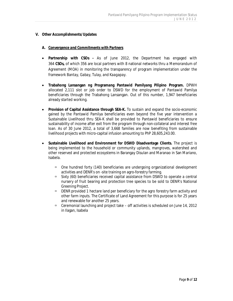#### **V. Other Accomplishments/Updates**

#### *A. Convergence and Commitments with Partners*

- x **Partnership with CSOs -** As of June 2012, the Department has engaged with 364 **CSOs,** of which 356 are local partners with 8 national networks thru a Memorandum of Agreement (MOA) in monitoring the transparency of program implementation under the framework *Bantay, Gabay, Tulay, and Kaagapay.*
- x **Trabahong Lansangan ng Programang Pantawid Pamilyang Pilipino Program.** DPWH allocated 2,111 slot or job order to DSWD for the employment of Pantawid Pamilya beneficiaries through the Trabahong Lansangan. Out of this number, 1,947 beneficiaries already started working.
- Provision of Capital Assistance through SEA-K. To sustain and expand the socio-economic gained by the Pantawid Pamilya beneficiaries even beyond the five year intervention a Sustainable Livelihood thru SEA-K shall be provided to Pantawid beneficiaries to ensure sustainability of income after exit from the program through non-collateral and interest free loan. As of 30 June 2012, a total of 3,668 families are now benefiting from sustainable livelihood projects with micro-capital infusion amounting to PhP 28,605,243.00.
- Sustainable Livelihood and Environment for DSWD Disadvantage Clients. The project is being implemented to the household or community uplands, mangroves, watershed and other reserved and protected ecosystems in Barangay Disulan and Maranao in San Mariano, Isabela.
	- □ One hundred forty (140) beneficiaries are undergoing organizational development activities and DENR's on -site training on agro-forestry farming.
	- $\overline{B}$  Sixty (60) beneficiaries received capital assistance from DSWD to operate a central nursery of fruit bearing and protection tree species to be sold to DENR's National Greening Project.
	- $\Box$  DENR provided 1 hectare land per beneficiary for the agro forestry farm activity and other farm inputs. The Certificate of Land Agreement for this purpose is for 25 years and renewable for another 25 years.
	- $\degree$  Ceremonial launching and project take off activities is scheduled on June 14, 2012 in Ilagan, Isabela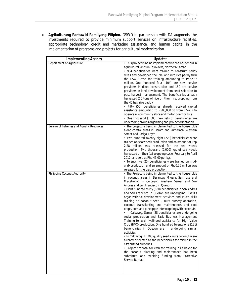x **Agrikulturang Pantawid Pamilyang Pilipino.** DSWD in partnership with DA augments the investments required to provide minimum support services on infrastructure facilities, appropriate technology, credit and marketing assistance, and human capital in the implementation of programs and projects for agricultural modernization.

| <b>Implementing Agency</b>                       | Updates                                                                                                                                                                                                                                                                                                                                                                                                                                                                                                                                                                                                                                                                                                                                                                                                                                                                                                                                                                                                                                                                                                                                                                             |
|--------------------------------------------------|-------------------------------------------------------------------------------------------------------------------------------------------------------------------------------------------------------------------------------------------------------------------------------------------------------------------------------------------------------------------------------------------------------------------------------------------------------------------------------------------------------------------------------------------------------------------------------------------------------------------------------------------------------------------------------------------------------------------------------------------------------------------------------------------------------------------------------------------------------------------------------------------------------------------------------------------------------------------------------------------------------------------------------------------------------------------------------------------------------------------------------------------------------------------------------------|
| Department of Agriculture                        | • This project is being implemented to the household in<br>agricultural lands in Las Navas, Northern Samar.<br>• 984 beneficiaries were trained to construct paddy<br>dikes and developed the idle land into rice paddy thru<br>the DSWD cash for training amounting to Php2.37<br>million. One hundred four (104) are now service<br>providers in dikes construction and 150 are service<br>providers in land development from seed selection to<br>post harvest management. The beneficiaries already<br>harvested 2.6 tons of rice on their first cropping from<br>the 45 has. rice paddy<br>• Fifty (50) beneficiaries already received capital<br>assistance amounting to P500,000.00 from DSWD to<br>operate a community store and motor boat for hire.<br>• One thousand (1,000) new sets of beneficiaries are                                                                                                                                                                                                                                                                                                                                                               |
| <b>Bureau of Fisheries and Aquatic Resources</b> | undergoing groups organizing and project orientation.<br>• The project is being implemented to the households<br>along coastal areas in Daram and Zumaraga, Western<br>Samar and Cariga, Leyte.<br>• Two hundred twenty eight (228) beneficiaries were<br>trained on sea weeds production and an amount of Php<br>2.28 million was released for the sea weeds<br>production. Two thousand (2,000) kgs of sea weeds<br>harvested on their 1st cropping cycle (February to April<br>2012) and sold at Php 45.00 per kgs.<br>• Twenty five (25) beneficiaries were trained on mud-<br>crab production and an amount of Php0.25 million was<br>released for the crab production.                                                                                                                                                                                                                                                                                                                                                                                                                                                                                                        |
| Philippine Coconut Authority                     | • The Project is being implemented to the households<br>in coconut areas in Barangay Migara, San Jose and<br>Macatingag in Calbayog Western Samar and San<br>Andres and San Francisco in Quezon.<br>• Eight hundred thirty (830) beneficiaries in San Andres<br>and San Francisco in Quezon are undergoing DSWD's<br>organizational development activities and PCA's skills<br>training on coconut seed - nuts nursery operation,<br>coconut transplanting and maintenance, and root<br>crops, corn and pineapple intercropping with coconuts.<br>• In Calbayog, Samar, 28 beneficiaries are undergoing<br>social preparation and Basic Business Management<br>Training to avail livelihood assistance for High Value<br>Crop (HVC) production. One hundred twenty one (121)<br>undergoing similar<br>beneficiaries in Quezon are<br>activities.<br>. In Calbayog, 11,200 quality seed - nuts coconut were<br>already dispersed to the beneficiaries for raising in the<br>established nurseries.<br>• Project proposal for cash for training in Calbayog for<br>the coconut planting and maintenance has been<br>submitted and awaiting funding from Protective<br>Service Bureau. |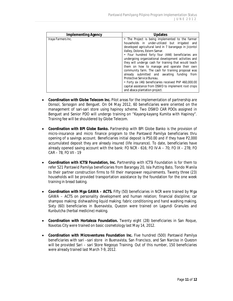| Implementing Agency | Updates                                                                                                                                                                                                                                                                                                                                                                                                                                                                                                                    |
|---------------------|----------------------------------------------------------------------------------------------------------------------------------------------------------------------------------------------------------------------------------------------------------------------------------------------------------------------------------------------------------------------------------------------------------------------------------------------------------------------------------------------------------------------------|
| Iraya Farmers Inc.  | • The Project is being implemented to the farmer<br>households in under-utilized but irrigated and<br>developed agricultural land in 7 barangays in Jicontol<br>Valley, Dolores, Estern Samar.<br>• Four hundred forty four (444) beneficiaries are<br>undergoing organizational development activities and<br>they will undergo cash for training that would teach<br>them on how to manage and operate their own<br>community farm. The cash for training proposal was<br>already submitted and awaiting funding<br>from |
|                     | Protective Service Bureau.                                                                                                                                                                                                                                                                                                                                                                                                                                                                                                 |
|                     | • Forty six (46) beneficiaries received PhP 460,000.00<br>capital assistance from DSWD to implement root crops<br>and abaca plantation project.                                                                                                                                                                                                                                                                                                                                                                            |

- **Coordination with Globe Telecom Inc. Pilot areas for the implementation of partnership are** Donsol, Sorsogon and Benguet. On 04 May 2012, 60 beneficiaries were oriented on the management of sari-sari store using hapinoy scheme. Two DSWD CAR PDOs assigned in Benguet and Senior PDO will undergo training on "Kayang-kayang Kumita with Hapinoy". Training fee will be shouldered by Globe Telecom.
- x **Coordination with BPI Globe Banko.** Partnership with BPI Globe Banko is the provision of micro-insurance and micro finance program to the Pantawid Pamilya beneficiaries thru opening of a savings account. Beneficiaries initial deposit is P50.00 and if they have P2,000 accumulated deposit they are already insured (life insurance). To date, beneficiaries have already opened saving account with the bank: FO NCR - 616; FO IV-A – 70; FO IX – 278; FO CAR – 78; FO VII - 19
- x **Coordination with ICTSI Foundation, Inc.** Partnership with ICTSI Foundation is for them to refer 521 Pantawid Pamilya beneficiaries from Barangay 20, Isla Putting Bato, Tondo Manila to their partner construction firms to fill their manpower requirements. Twenty three (23) households will be provided transportation assistance by the foundation for the one week training in bread baking.
- Coordination with Mga GAWA ACTS. Fifty (50) beneficiaries in NCR were trained by Mga GAWA – ACTS on personality development and human relation; financial discipline; car shampoo making; dishwashing liquid making; fabric conditioning and hand washing making. Sixty (60) beneficiaries in Buenavista, Quezon were trained on Lagundi Granules and Kunbutcha (herbal medicine) making.
- x **Coordination with Hortaleza Foundation.** Twenty eight (28) beneficiaries in San Roque, Navotas City were trained on basic cosmetology last May 14, 2012.
- Coordination with Microventures Foundation Inc. Five hundred (500) Pantawid Pamilya beneficiaries with sari –sari store in Buenavista, San Francisco, and San Narciso in Quezon will be provided Sari – sari Store Negosyo Training. Out of this number, 150 beneficiaries were already trained last March 7-9, 2012.